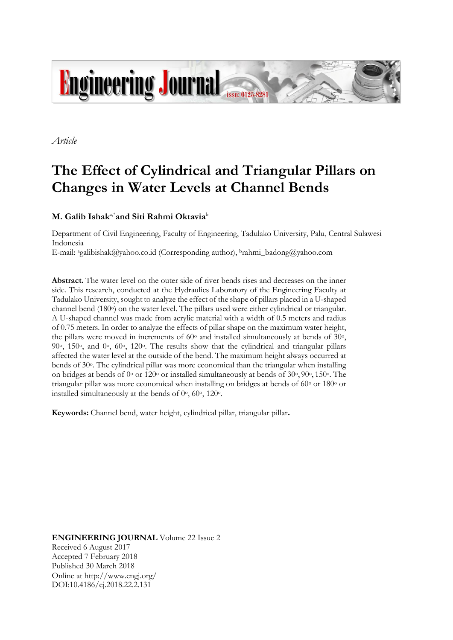

*Article*

# **The Effect of Cylindrical and Triangular Pillars on Changes in Water Levels at Channel Bends**

# $\mathbf{M}$ **.** Galib Ishak<sup>a,\*</sup>and Siti Rahmi Oktavia<sup>b</sup>

Department of Civil Engineering, Faculty of Engineering, Tadulako University, Palu, Central Sulawesi Indonesia E-mail: agalibishak@yahoo.co.id (Corresponding author), <sup>b</sup>rahmi\_badong@yahoo.com

**Abstract.** The water level on the outer side of river bends rises and decreases on the inner side. This research, conducted at the Hydraulics Laboratory of the Engineering Faculty at Tadulako University, sought to analyze the effect of the shape of pillars placed in a U-shaped channel bend  $(180\degree)$  on the water level. The pillars used were either cylindrical or triangular. A U-shaped channel was made from acrylic material with a width of 0.5 meters and radius of 0.75 meters. In order to analyze the effects of pillar shape on the maximum water height, the pillars were moved in increments of  $60^\circ$  and installed simultaneously at bends of  $30^\circ$ , 90 $\degree$ , 150 $\degree$ , and 0 $\degree$ , 60 $\degree$ , 120 $\degree$ . The results show that the cylindrical and triangular pillars affected the water level at the outside of the bend. The maximum height always occurred at bends of 30o. The cylindrical pillar was more economical than the triangular when installing on bridges at bends of  $0^{\circ}$  or 120° or installed simultaneously at bends of  $30^{\circ}$ ,  $90^{\circ}$ ,  $150^{\circ}$ . The triangular pillar was more economical when installing on bridges at bends of 60° or 180° or installed simultaneously at the bends of  $0^\circ$ ,  $60^\circ$ ,  $120^\circ$ .

**Keywords:** Channel bend, water height, cylindrical pillar, triangular pillar**.**

**ENGINEERING JOURNAL** Volume 22 Issue 2 Received 6 August 2017 Accepted 7 February 2018 Published 30 March 2018 Online at http://www.engj.org/ DOI:10.4186/ej.2018.22.2.131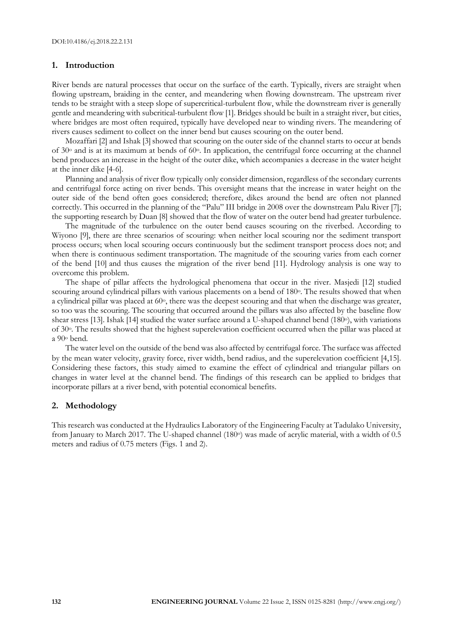#### **1. Introduction**

River bends are natural processes that occur on the surface of the earth. Typically, rivers are straight when flowing upstream, braiding in the center, and meandering when flowing downstream. The upstream river tends to be straight with a steep slope of supercritical-turbulent flow, while the downstream river is generally gentle and meandering with subcritical-turbulent flow [1]. Bridges should be built in a straight river, but cities, where bridges are most often required, typically have developed near to winding rivers. The meandering of rivers causes sediment to collect on the inner bend but causes scouring on the outer bend.

Mozaffari [2] and Ishak [3] showed that scouring on the outer side of the channel starts to occur at bends of  $30^{\circ}$  and is at its maximum at bends of  $60^{\circ}$ . In application, the centrifugal force occurring at the channel bend produces an increase in the height of the outer dike, which accompanies a decrease in the water height at the inner dike [4-6].

Planning and analysis of river flow typically only consider dimension, regardless of the secondary currents and centrifugal force acting on river bends. This oversight means that the increase in water height on the outer side of the bend often goes considered; therefore, dikes around the bend are often not planned correctly. This occurred in the planning of the "Palu" III bridge in 2008 over the downstream Palu River [7]; the supporting research by Duan [8] showed that the flow of water on the outer bend had greater turbulence.

The magnitude of the turbulence on the outer bend causes scouring on the riverbed. According to Wiyono [9], there are three scenarios of scouring: when neither local scouring nor the sediment transport process occurs; when local scouring occurs continuously but the sediment transport process does not; and when there is continuous sediment transportation. The magnitude of the scouring varies from each corner of the bend [10] and thus causes the migration of the river bend [11]. Hydrology analysis is one way to overcome this problem.

The shape of pillar affects the hydrological phenomena that occur in the river. Masjedi [12] studied scouring around cylindrical pillars with various placements on a bend of 180<sup>o</sup>. The results showed that when a cylindrical pillar was placed at 60°, there was the deepest scouring and that when the discharge was greater, so too was the scouring. The scouring that occurred around the pillars was also affected by the baseline flow shear stress [13]. Ishak [14] studied the water surface around a U-shaped channel bend (180°), with variations of 30o. The results showed that the highest superelevation coefficient occurred when the pillar was placed at a 90<sup>o</sup> bend.

The water level on the outside of the bend was also affected by centrifugal force. The surface was affected by the mean water velocity, gravity force, river width, bend radius, and the superelevation coefficient [4,15]. Considering these factors, this study aimed to examine the effect of cylindrical and triangular pillars on changes in water level at the channel bend. The findings of this research can be applied to bridges that incorporate pillars at a river bend, with potential economical benefits.

#### **2. Methodology**

This research was conducted at the Hydraulics Laboratory of the Engineering Faculty at Tadulako University, from January to March 2017. The U-shaped channel (180<sup>o</sup>) was made of acrylic material, with a width of 0.5 meters and radius of 0.75 meters (Figs. 1 and 2).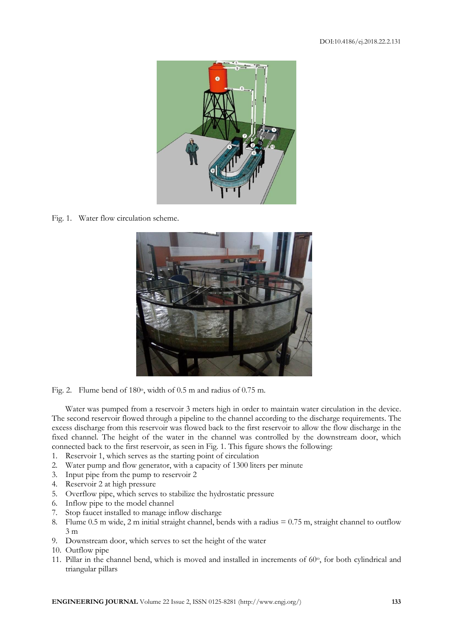

Fig. 1. Water flow circulation scheme.



Fig. 2. Flume bend of 180°, width of 0.5 m and radius of 0.75 m.

Water was pumped from a reservoir 3 meters high in order to maintain water circulation in the device. The second reservoir flowed through a pipeline to the channel according to the discharge requirements. The excess discharge from this reservoir was flowed back to the first reservoir to allow the flow discharge in the fixed channel. The height of the water in the channel was controlled by the downstream door, which connected back to the first reservoir, as seen in Fig. 1. This figure shows the following:

- 1. Reservoir 1, which serves as the starting point of circulation
- 2. Water pump and flow generator, with a capacity of 1300 liters per minute
- 3. Input pipe from the pump to reservoir 2
- 4. Reservoir 2 at high pressure
- 5. Overflow pipe, which serves to stabilize the hydrostatic pressure
- 6. Inflow pipe to the model channel
- 7. Stop faucet installed to manage inflow discharge
- 8. Flume 0.5 m wide, 2 m initial straight channel, bends with a radius = 0.75 m, straight channel to outflow 3 m
- 9. Downstream door, which serves to set the height of the water
- 10. Outflow pipe
- 11. Pillar in the channel bend, which is moved and installed in increments of  $60^\circ$ , for both cylindrical and triangular pillars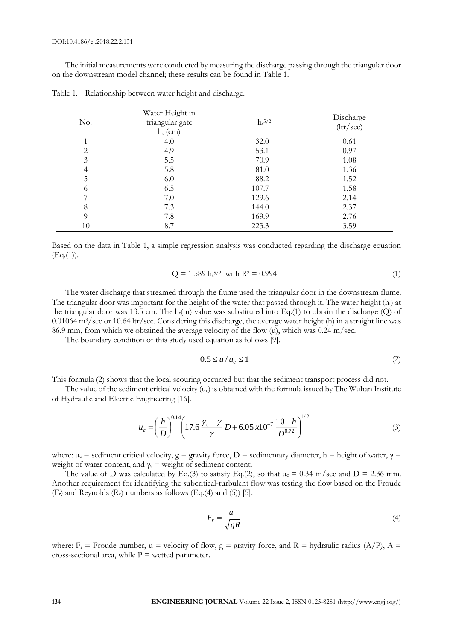The initial measurements were conducted by measuring the discharge passing through the triangular door on the downstream model channel; these results can be found in Table 1.

| No. | Water Height in<br>triangular gate<br>$h_t$ (cm) | $\mathrm{h_t}^{5/2}$ | Discharge<br>(ltr/sec) |
|-----|--------------------------------------------------|----------------------|------------------------|
|     | 4.0                                              | 32.0                 | 0.61                   |
| 2   | 4.9                                              | 53.1                 | 0.97                   |
| 3   | 5.5                                              | 70.9                 | 1.08                   |
| 4   | 5.8                                              | 81.0                 | 1.36                   |
| 5   | 6.0                                              | 88.2                 | 1.52                   |
| 6   | 6.5                                              | 107.7                | 1.58                   |
|     | 7.0                                              | 129.6                | 2.14                   |
| 8   | 7.3                                              | 144.0                | 2.37                   |
| 9   | 7.8                                              | 169.9                | 2.76                   |
| 10  | 8.7                                              | 223.3                | 3.59                   |

Table 1. Relationship between water height and discharge.

Based on the data in Table 1, a simple regression analysis was conducted regarding the discharge equation  $(Eq.(1)).$ 

$$
Q = 1.589 ht5/2 with R2 = 0.994
$$
 (1)

The water discharge that streamed through the flume used the triangular door in the downstream flume. The triangular door was important for the height of the water that passed through it. The water height  $(h_t)$  at the triangular door was 13.5 cm. The  $h_t(m)$  value was substituted into Eq.(1) to obtain the discharge (Q) of 0.01064 m3/sec or 10.64 ltr/sec. Considering this discharge, the average water height (h) in a straight line was 86.9 mm, from which we obtained the average velocity of the flow (u), which was 0.24 m/sec.

The boundary condition of this study used equation as follows [9].

$$
0.5 \le u/u_c \le 1\tag{2}
$$

This formula (2) shows that the local scouring occurred but that the sediment transport process did not.

The value of the sediment critical velocity  $(u<sub>c</sub>)$  is obtained with the formula issued by The Wuhan Institute of Hydraulic and Electric Engineering [16].

$$
u_c = \left(\frac{h}{D}\right)^{0.14} \left(17.6\,\frac{\gamma_s - \gamma}{\gamma} \,D + 6.05\,\mathrm{x}10^{-7}\,\frac{10 + h}{D^{0.72}}\right)^{1/2} \tag{3}
$$

where:  $u_c$  = sediment critical velocity,  $g =$  gravity force, D = sedimentary diameter, h = height of water,  $\gamma$  = weight of water content, and  $\gamma_s$  = weight of sediment content.

The value of D was calculated by Eq.(3) to satisfy Eq.(2), so that  $u_c = 0.34$  m/sec and D = 2.36 mm. Another requirement for identifying the subcritical-turbulent flow was testing the flow based on the Froude  $(F_r)$  and Reynolds  $(R_e)$  numbers as follows  $(Eq.4)$  and  $(5)$  [5].

$$
F_r = \frac{u}{\sqrt{gR}}\tag{4}
$$

where:  $F_r$  = Froude number, u = velocity of flow, g = gravity force, and R = hydraulic radius (A/P), A = cross-sectional area, while  $P =$  wetted parameter.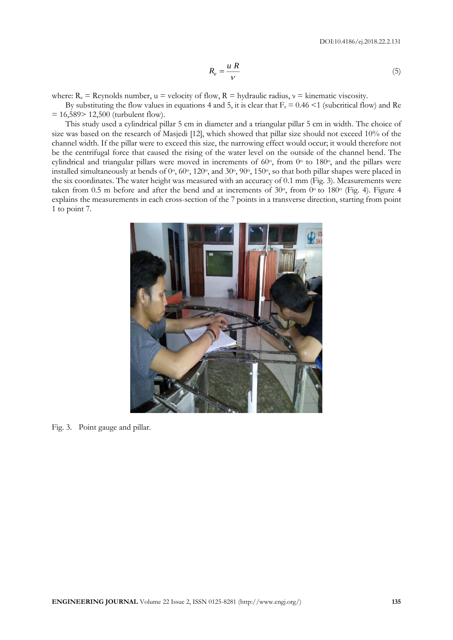$$
R_e = \frac{u \, R}{V} \tag{5}
$$

where:  $R_e =$  Reynolds number,  $u =$  velocity of flow,  $R =$  hydraulic radius,  $v =$  kinematic viscosity.

By substituting the flow values in equations 4 and 5, it is clear that  $F_r = 0.46 \le 1$  (subcritical flow) and Re  $= 16,589 > 12,500$  (turbulent flow).

This study used a cylindrical pillar 5 cm in diameter and a triangular pillar 5 cm in width. The choice of size was based on the research of Masjedi [12], which showed that pillar size should not exceed 10% of the channel width. If the pillar were to exceed this size, the narrowing effect would occur; it would therefore not be the centrifugal force that caused the rising of the water level on the outside of the channel bend. The cylindrical and triangular pillars were moved in increments of 60°, from 0° to 180°, and the pillars were installed simultaneously at bends of 0°, 60°, 120°, and 30°, 90°, 150°, so that both pillar shapes were placed in the six coordinates. The water height was measured with an accuracy of 0.1 mm (Fig. 3). Measurements were taken from 0.5 m before and after the bend and at increments of  $30^{\circ}$ , from  $0^{\circ}$  to  $180^{\circ}$  (Fig. 4). Figure 4 explains the measurements in each cross-section of the 7 points in a transverse direction, starting from point 1 to point 7.



Fig. 3. Point gauge and pillar.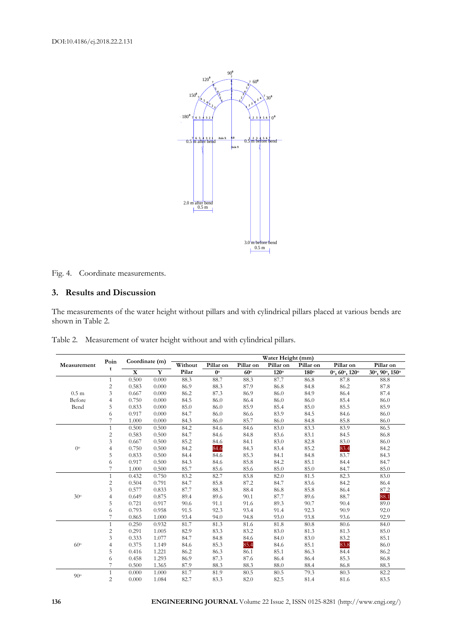

Fig. 4. Coordinate measurements.

### **3. Results and Discussion**

The measurements of the water height without pillars and with cylindrical pillars placed at various bends are shown in Table 2.

|                  | Poin           | Coordinate (m)          |       | Water Height (mm) |             |            |           |           |                                            |                                       |  |
|------------------|----------------|-------------------------|-------|-------------------|-------------|------------|-----------|-----------|--------------------------------------------|---------------------------------------|--|
| Measurement      | t              |                         |       | Without           | Pillar on   | Pillar on  | Pillar on | Pillar on | Pillar on                                  | Pillar on                             |  |
|                  |                | $\overline{\mathbf{X}}$ | Y     | Pilar             | $0^{\rm o}$ | $60^\circ$ | 120°      | 180°      | $0^{\circ}$ , $60^{\circ}$ , $120^{\circ}$ | $30^{\circ}, 90^{\circ}, 150^{\circ}$ |  |
|                  | $\mathbf{1}$   | 0.500                   | 0.000 | 88.3              | 88.7        | 88.3       | 87.7      | 86.8      | 87.8                                       | 88.8                                  |  |
|                  | $\sqrt{2}$     | 0.583                   | 0.000 | 86.9              | 88.3        | 87.9       | 86.8      | 84.8      | 86.2                                       | 87.8                                  |  |
| 0.5 <sub>m</sub> | 3              | 0.667                   | 0.000 | 86.2              | 87.3        | 86.9       | 86.0      | 84.9      | 86.4                                       | 87.4                                  |  |
| Before           | 4              | 0.750                   | 0.000 | 84.5              | 86.0        | 86.4       | 86.0      | 86.0      | 85.4                                       | 86.0                                  |  |
| Bend             | 5              | 0.833                   | 0.000 | 85.0              | 86.0        | 85.9       | 85.4      | 85.0      | 85.5                                       | 85.9                                  |  |
|                  | 6              | 0.917                   | 0.000 | 84.7              | 86.0        | 86.6       | 83.9      | 84.5      | 84.6                                       | 86.0                                  |  |
|                  | 7              | 1.000                   | 0.000 | 84.3              | 86.0        | 85.7       | 86.0      | 84.8      | 85.8                                       | 86.0                                  |  |
|                  | $\mathbf{1}$   | 0.500                   | 0.500 | 84.2              | 84.6        | 84.6       | 83.0      | 83.3      | 83.9                                       | 86.5                                  |  |
|                  | $\sqrt{2}$     | 0.583                   | 0.500 | 84.7              | 84.6        | 84.8       | 83.6      | 83.1      | 84.5                                       | 86.8                                  |  |
|                  | 3              | 0.667                   | 0.500 | 85.2              | 84.6        | 84.1       | 83.0      | 82.8      | 83.0                                       | 86.0                                  |  |
| $0^{\circ}$      | $\overline{4}$ | 0.750                   | 0.500 | 84.2              | 84.6        | 84.3       | 83.4      | 85.2      | 83.4                                       | 84.2                                  |  |
|                  | 5              | 0.833                   | 0.500 | 84.4              | 84.6        | 85.3       | 84.1      | 84.8      | 83.7                                       | 84.3                                  |  |
|                  | 6              | 0.917                   | 0.500 | 84.3              | 84.6        | 85.8       | 84.2      | 85.1      | 84.4                                       | 84.7                                  |  |
|                  |                | 1.000                   | 0.500 | 85.7              | 85.6        | 85.6       | 85.0      | 85.0      | 84.7                                       | 85.0                                  |  |
|                  | $\mathbf{1}$   | 0.432                   | 0.750 | 83.2              | 82.7        | 83.8       | 82.0      | 81.5      | 82.3                                       | 83.0                                  |  |
|                  | $\sqrt{2}$     | 0.504                   | 0.791 | 84.7              | 85.8        | $87.2\,$   | 84.7      | 83.6      | 84.2                                       | 86.4                                  |  |
|                  | 3              | 0.577                   | 0.833 | 87.7              | 88.3        | 88.4       | 86.8      | 85.8      | 86.4                                       | 87.2                                  |  |
| 30°              | $\overline{4}$ | 0.649                   | 0.875 | 89.4              | 89.6        | 90.1       | 87.7      | 89.6      | 88.7                                       | 88.1                                  |  |
|                  | 5              | 0.721                   | 0.917 | 90.6              | 91.1        | 91.6       | 89.3      | 90.7      | 90.4                                       | 89.0                                  |  |
|                  | 6              | 0.793                   | 0.958 | 91.5              | 92.3        | 93.4       | 91.4      | 92.3      | 90.9                                       | 92.0                                  |  |
|                  | 7              | 0.865                   | 1.000 | 93.4              | 94.0        | 94.8       | 93.0      | 93.8      | 93.6                                       | 92.9                                  |  |
|                  | $\mathbf{1}$   | 0.250                   | 0.932 | 81.7              | 81.3        | 81.6       | 81.8      | 80.8      | 80.6                                       | 84.0                                  |  |
|                  | $\overline{c}$ | 0.291                   | 1.005 | 82.9              | 83.3        | 83.2       | 83.0      | 81.3      | 81.3                                       | 85.0                                  |  |
|                  | 3              | 0.333                   | 1.077 | 84.7              | 84.8        | 84.6       | 84.0      | 83.0      | 83.2                                       | 85.1                                  |  |
| $60^{\circ}$     | 4              | 0.375                   | 1.149 | 84.6              | 85.3        | 85.4       | 84.6      | 85.1      | 83.8                                       | 86.0                                  |  |
|                  | 5              | 0.416                   | 1.221 | 86.2              | 86.3        | 86.1       | 85.1      | 86.3      | 84.4                                       | 86.2                                  |  |
|                  | 6              | 0.458                   | 1.293 | 86.9              | 87.3        | 87.6       | 86.4      | 86.4      | 85.3                                       | 86.8                                  |  |
|                  | 7              | 0.500                   | 1.365 | 87.9              | 88.3        | 88.3       | 88.0      | 88.4      | 86.8                                       | 88.3                                  |  |
| 90°              | $\mathbf{1}$   | 0.000                   | 1.000 | 81.7              | 81.9        | 80.5       | 80.5      | 79.3      | 80.3                                       | 82.2                                  |  |
|                  | $\overline{c}$ | 0.000                   | 1.084 | 82.7              | 83.3        | 82.0       | 82.5      | 81.4      | 81.6                                       | 83.5                                  |  |

Table 2. Measurement of water height without and with cylindrical pillars.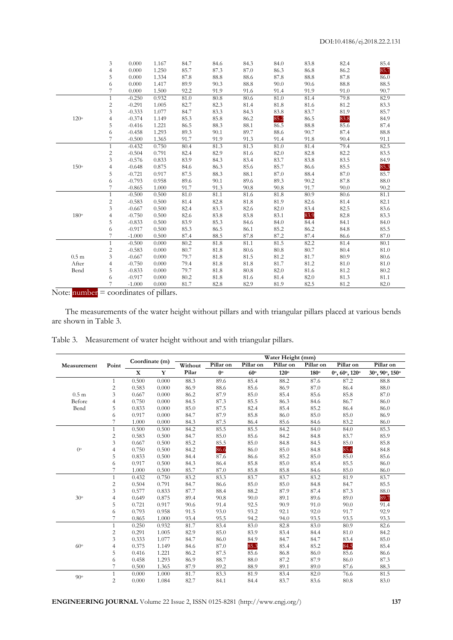|                  | 3              | 0.000    | 1.167 | 84.7 | 84.6 | 84.3 | 84.0     | 83.8 | 82.4 | 85.4 |
|------------------|----------------|----------|-------|------|------|------|----------|------|------|------|
|                  | 4              | 0.000    | 1.250 | 85.7 | 87.3 | 87.0 | 86.3     | 86.8 | 86.2 | 85.7 |
|                  | 5              | 0.000    | 1.334 | 87.8 | 88.8 | 88.6 | 87.8     | 88.8 | 87.8 | 86.0 |
|                  | 6              | 0.000    | 1.417 | 89.9 | 90.3 | 88.8 | 90.0     | 90.6 | 88.8 | 88.5 |
|                  | $\overline{7}$ | 0.000    | 1.500 | 92.2 | 91.9 | 91.6 | 91.4     | 91.9 | 91.0 | 90.7 |
|                  | $\mathbf{1}$   | $-0.250$ | 0.932 | 81.0 | 80.8 | 80.6 | $81.0\,$ | 81.4 | 79.8 | 82.9 |
|                  | $\overline{c}$ | $-0.291$ | 1.005 | 82.7 | 82.3 | 81.4 | 81.8     | 81.6 | 81.2 | 83.3 |
|                  | 3              | $-0.333$ | 1.077 | 84.7 | 83.3 | 84.3 | 83.8     | 83.7 | 81.9 | 85.7 |
| $120^\circ$      | 4              | $-0.374$ | 1.149 | 85.3 | 85.8 | 86.2 | 85.2     | 86.5 | 83.8 | 84.9 |
|                  | 5              | $-0.416$ | 1.221 | 86.5 | 88.3 | 88.1 | 86.5     | 88.8 | 85.6 | 87.4 |
|                  | 6              | $-0.458$ | 1.293 | 89.3 | 90.1 | 89.7 | 88.6     | 90.7 | 87.4 | 88.8 |
|                  | 7              | $-0.500$ | 1.365 | 91.7 | 91.9 | 91.3 | 91.4     | 91.8 | 90.4 | 91.1 |
|                  | $\mathbf{1}$   | $-0.432$ | 0.750 | 80.4 | 81.3 | 81.3 | 81.0     | 81.4 | 79.4 | 82.5 |
|                  | $\overline{c}$ | $-0.504$ | 0.791 | 82.4 | 82.9 | 81.6 | 82.0     | 82.8 | 82.2 | 83.5 |
|                  | 3              | $-0.576$ | 0.833 | 83.9 | 84.3 | 83.4 | 83.7     | 83.8 | 83.5 | 84.9 |
| $150^\circ$      | $\overline{4}$ | $-0.648$ | 0.875 | 84.6 | 86.3 | 85.6 | 85.7     | 86.6 | 85.5 | 85.3 |
|                  | 5              | $-0.721$ | 0.917 | 87.5 | 88.3 | 88.1 | 87.0     | 88.4 | 87.0 | 85.7 |
|                  | 6              | $-0.793$ | 0.958 | 89.6 | 90.1 | 89.6 | 89.3     | 90.2 | 87.8 | 88.0 |
|                  |                | $-0.865$ | 1.000 | 91.7 | 91.3 | 90.8 | 90.8     | 91.7 | 90.0 | 90.2 |
|                  | $\mathbf{1}$   | $-0.500$ | 0.500 | 81.0 | 81.1 | 81.6 | 81.8     | 80.9 | 80.6 | 81.1 |
|                  | $\overline{c}$ | $-0.583$ | 0.500 | 81.4 | 82.8 | 81.8 | 81.9     | 82.6 | 81.4 | 82.1 |
|                  | 3              | $-0.667$ | 0.500 | 82.4 | 83.3 | 82.6 | 82.0     | 83.4 | 82.5 | 83.6 |
| 180°             | $\overline{4}$ | $-0.750$ | 0.500 | 82.6 | 83.8 | 83.8 | 83.1     | 83.9 | 82.8 | 83.3 |
|                  | 5              | $-0.833$ | 0.500 | 83.9 | 85.3 | 84.6 | 84.0     | 84.4 | 84.1 | 84.0 |
|                  | 6              | $-0.917$ | 0.500 | 85.3 | 86.5 | 86.1 | 85.2     | 86.2 | 84.8 | 85.5 |
|                  |                | $-1.000$ | 0.500 | 87.4 | 88.5 | 87.8 | 87.2     | 87.4 | 86.6 | 87.0 |
|                  | $\mathbf{1}$   | $-0.500$ | 0.000 | 80.2 | 81.8 | 81.1 | 81.5     | 82.2 | 81.4 | 80.1 |
|                  | $\overline{2}$ | $-0.583$ | 0.000 | 80.7 | 81.8 | 80.6 | 80.8     | 80.7 | 80.4 | 81.0 |
| 0.5 <sub>m</sub> | 3              | $-0.667$ | 0.000 | 79.7 | 81.8 | 81.5 | 81.2     | 81.7 | 80.9 | 80.6 |
| After            | $\overline{4}$ | $-0.750$ | 0.000 | 79.4 | 81.8 | 81.8 | 81.7     | 81.2 | 81.0 | 81.0 |
| Bend             | 5              | $-0.833$ | 0.000 | 79.7 | 81.8 | 80.8 | 82.0     | 81.6 | 81.2 | 80.2 |
|                  | 6              | $-0.917$ | 0.000 | 80.2 | 81.8 | 81.6 | 81.4     | 82.0 | 81.3 | 81.1 |
|                  |                | $-1.000$ | 0.000 | 81.7 | 82.8 | 82.9 | 81.9     | 82.5 | 81.2 | 82.0 |

Note:  $number = coordinates of pillars.$ 

The measurements of the water height without pillars and with triangular pillars placed at various bends are shown in Table 3.

|                 |                | Coordinate (m) |       | Water Height (mm) |             |            |             |             |                                            |                |
|-----------------|----------------|----------------|-------|-------------------|-------------|------------|-------------|-------------|--------------------------------------------|----------------|
| Measurement     | Point          |                |       | Without           | Pillar on   | Pillar on  | Pillar on   | Pillar on   | Pillar on                                  | Pillar on      |
|                 |                | $\mathbf X$    | Y     | Pilar             | $0^{\circ}$ | $60^\circ$ | $120^\circ$ | $180^\circ$ | $0^{\circ}$ , $60^{\circ}$ , $120^{\circ}$ | 30°, 90°, 150° |
|                 | $\mathbf{1}$   | 0.500          | 0.000 | 88.3              | 89.6        | 85.4       | 88.2        | 87.6        | 87.2                                       | 88.8           |
|                 | $\overline{c}$ | 0.583          | 0.000 | 86.9              | 88.6        | 85.6       | 86.9        | 87.0        | 86.4                                       | 88.0           |
| $0.5 \text{ m}$ | 3              | 0.667          | 0.000 | 86.2              | 87.9        | 85.0       | 85.4        | 85.6        | 85.8                                       | 87.0           |
| Before          | 4              | 0.750          | 0.000 | 84.5              | 87.3        | 85.5       | 86.3        | 84.6        | 86.7                                       | 86.0           |
| Bend            | 5              | 0.833          | 0.000 | 85.0              | 87.5        | 82.4       | 85.4        | 85.2        | 86.4                                       | 86.0           |
|                 | 6              | 0.917          | 0.000 | 84.7              | 87.9        | 85.8       | 86.0        | 85.0        | 85.0                                       | 86.9           |
|                 | 7              | 1.000          | 0.000 | 84.3              | 87.5        | 86.4       | 85.6        | 84.6        | 83.2                                       | 86.0           |
|                 | $\mathbf{1}$   | 0.500          | 0.500 | 84.2              | 85.5        | 85.5       | 84.2        | 84.0        | 84.0                                       | 85.3           |
|                 | $\overline{2}$ | 0.583          | 0.500 | 84.7              | 85.0        | 85.6       | 84.2        | 84.8        | 83.7                                       | 85.9           |
|                 | 3              | 0.667          | 0.500 | 85.2              | 85.5        | 85.0       | 84.8        | 84.5        | 85.0                                       | 85.8           |
| $0^{\circ}$     | 4              | 0.750          | 0.500 | 84.2              | 86.6        | 86.0       | 85.0        | 84.8        | 85.6                                       | 84.8           |
|                 | 5              | 0.833          | 0.500 | 84.4              | 87.6        | 86.6       | 85.2        | 85.0        | 85.0                                       | 85.6           |
|                 | 6              | 0.917          | 0.500 | 84.3              | 86.4        | 85.8       | 85.0        | 85.4        | 85.5                                       | 86.0           |
|                 |                | 1.000          | 0.500 | 85.7              | 87.0        | 85.8       | 85.8        | 84.6        | 85.0                                       | 86.0           |
|                 | 1              | 0.432          | 0.750 | 83.2              | 83.3        | 83.7       | 83.7        | 83.2        | 81.9                                       | 83.7           |
|                 | $\overline{c}$ | 0.504          | 0.791 | 84.7              | 86.6        | 85.0       | 85.0        | 84.8        | 84.7                                       | 85.5           |
|                 | 3              | 0.577          | 0.833 | 87.7              | 88.4        | 88.2       | 87.9        | 87.4        | 87.3                                       | 88.0           |
| $30^{\circ}$    | $\overline{4}$ | 0.649          | 0.875 | 89.4              | 90.8        | 90.0       | 89.1        | 89.6        | 89.0                                       | 89.7           |
|                 | 5              | 0.721          | 0.917 | 90.6              | 91.4        | 92.5       | 90.9        | 91.0        | 90.0                                       | 91.4           |
|                 | 6              | 0.793          | 0.958 | 91.5              | 93.0        | 93.2       | 92.1        | 92.0        | 91.7                                       | 92.9           |
|                 |                | 0.865          | 1.000 | 93.4              | 95.5        | 94.2       | 94.0        | 93.5        | 93.5                                       | 93.3           |
|                 | 1              | 0.250          | 0.932 | 81.7              | 83.4        | 83.0       | 82.8        | 83.0        | 80.9                                       | 82.6           |
|                 | $\overline{c}$ | 0.291          | 1.005 | 82.9              | 85.0        | 83.9       | 83.4        | 84.4        | 81.0                                       | 84.2           |
|                 | 3              | 0.333          | 1.077 | 84.7              | 86.0        | 84.9       | 84.7        | 84.7        | 83.4                                       | 85.0           |
| 60°             | 4              | 0.375          | 1.149 | 84.6              | 87.0        | 85.3       | 85.4        | 85.2        | 84.5                                       | 85.4           |
|                 | 5              | 0.416          | 1.221 | 86.2              | 87.5        | 85.6       | 86.8        | 86.0        | 85.6                                       | 86.6           |
|                 | 6              | 0.458          | 1.293 | 86.9              | 88.7        | 88.0       | 87.2        | 87.9        | 86.0                                       | 87.3           |
|                 | 7              | 0.500          | 1.365 | 87.9              | 89.2        | 88.9       | 89.1        | 89.0        | 87.6                                       | 88.3           |
|                 | 1              | 0.000          | 1.000 | 81.7              | 83.3        | 81.9       | 83.4        | 82.0        | 76.6                                       | 81.5           |
| $90^{\circ}$    | $\overline{2}$ | 0.000          | 1.084 | 82.7              | 84.1        | 84.4       | 83.7        | 83.6        | 80.8                                       | 83.0           |
|                 |                |                |       |                   |             |            |             |             |                                            |                |

Table 3. Measurement of water height without and with triangular pillars.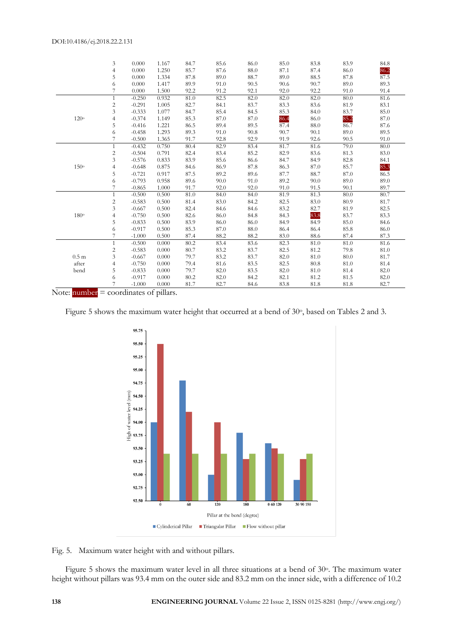|                 | 3              | 0.000    | 1.167 | 84.7 | 85.6 | 86.0 | 85.0 | 83.8 | 83.9 | 84.8 |
|-----------------|----------------|----------|-------|------|------|------|------|------|------|------|
|                 | $\overline{4}$ | 0.000    | 1.250 | 85.7 | 87.6 | 88.0 | 87.1 | 87.4 | 86.0 | 86.2 |
|                 | 5              | 0.000    | 1.334 | 87.8 | 89.0 | 88.7 | 89.0 | 88.5 | 87.8 | 87.5 |
|                 | 6              | 0.000    | 1.417 | 89.9 | 91.0 | 90.5 | 90.6 | 90.7 | 89.0 | 89.3 |
|                 | 7              | 0.000    | 1.500 | 92.2 | 91.2 | 92.1 | 92.0 | 92.2 | 91.0 | 91.4 |
|                 | 1              | $-0.250$ | 0.932 | 81.0 | 82.5 | 82.0 | 82.0 | 82.0 | 80.0 | 81.6 |
|                 | $\overline{c}$ | $-0.291$ | 1.005 | 82.7 | 84.1 | 83.7 | 83.3 | 83.6 | 81.9 | 83.1 |
|                 | 3              | $-0.333$ | 1.077 | 84.7 | 85.4 | 84.5 | 85.3 | 84.0 | 83.7 | 85.0 |
| $120^{\circ}$   | 4              | $-0.374$ | 1.149 | 85.3 | 87.0 | 87.0 | 86.4 | 86.0 | 85.2 | 87.0 |
|                 | 5              | $-0.416$ | 1.221 | 86.5 | 89.4 | 89.5 | 87.4 | 88.0 | 86.7 | 87.6 |
|                 | 6              | $-0.458$ | 1.293 | 89.3 | 91.0 | 90.8 | 90.7 | 90.1 | 89.0 | 89.5 |
|                 |                | $-0.500$ | 1.365 | 91.7 | 92.8 | 92.9 | 91.9 | 92.6 | 90.5 | 91.0 |
|                 | 1              | $-0.432$ | 0.750 | 80.4 | 82.9 | 83.4 | 81.7 | 81.6 | 79.0 | 80.0 |
|                 | 2              | $-0.504$ | 0.791 | 82.4 | 83.4 | 85.2 | 82.9 | 83.6 | 81.3 | 83.0 |
|                 | 3              | $-0.576$ | 0.833 | 83.9 | 85.6 | 86.6 | 84.7 | 84.9 | 82.8 | 84.1 |
| $150^\circ$     | 4              | $-0.648$ | 0.875 | 84.6 | 86.9 | 87.8 | 86.3 | 87.0 | 85.7 | 85.3 |
|                 | 5              | $-0.721$ | 0.917 | 87.5 | 89.2 | 89.6 | 87.7 | 88.7 | 87.0 | 86.5 |
|                 | 6              | $-0.793$ | 0.958 | 89.6 | 90.0 | 91.0 | 89.2 | 90.0 | 89.0 | 89.0 |
|                 | 7              | $-0.865$ | 1.000 | 91.7 | 92.0 | 92.0 | 91.0 | 91.5 | 90.1 | 89.7 |
|                 | $\mathbf{1}$   | $-0.500$ | 0.500 | 81.0 | 84.0 | 84.0 | 81.9 | 81.3 | 80.0 | 80.7 |
|                 | 2              | $-0.583$ | 0.500 | 81.4 | 83.0 | 84.2 | 82.5 | 83.0 | 80.9 | 81.7 |
|                 | 3              | $-0.667$ | 0.500 | 82.4 | 84.6 | 84.6 | 83.2 | 82.7 | 81.9 | 82.5 |
| 180°            |                | $-0.750$ | 0.500 | 82.6 | 86.0 | 84.8 | 84.3 | 83.8 | 83.7 | 83.3 |
|                 | 5              | $-0.833$ | 0.500 | 83.9 | 86.0 | 86.0 | 84.9 | 84.9 | 85.0 | 84.6 |
|                 | 6              | $-0.917$ | 0.500 | 85.3 | 87.0 | 88.0 | 86.4 | 86.4 | 85.8 | 86.0 |
|                 | 7              | $-1.000$ | 0.500 | 87.4 | 88.2 | 88.2 | 83.0 | 88.6 | 87.4 | 87.3 |
|                 | $\mathbf{1}$   | $-0.500$ | 0.000 | 80.2 | 83.4 | 83.6 | 82.3 | 81.0 | 81.0 | 81.6 |
|                 | $\overline{c}$ | $-0.583$ | 0.000 | 80.7 | 83.2 | 83.7 | 82.5 | 81.2 | 79.8 | 81.0 |
| $0.5 \text{ m}$ | 3              | $-0.667$ | 0.000 | 79.7 | 83.2 | 83.7 | 82.0 | 81.0 | 80.0 | 81.7 |
| after           |                | $-0.750$ | 0.000 | 79.4 | 81.6 | 83.5 | 82.5 | 80.8 | 81.0 | 81.4 |
| bend            | 5              | $-0.833$ | 0.000 | 79.7 | 82.0 | 83.5 | 82.0 | 81.0 | 81.4 | 82.0 |
|                 | 6              | $-0.917$ | 0.000 | 80.2 | 82.0 | 84.2 | 82.1 | 81.2 | 81.5 | 82.0 |
|                 |                | $-1.000$ | 0.000 | 81.7 | 82.7 | 84.6 | 83.8 | 81.8 | 81.8 | 82.7 |
|                 |                |          |       |      |      |      |      |      |      |      |

Note:  $number = coordinates of pillars.$ 

Figure 5 shows the maximum water height that occurred at a bend of 30°, based on Tables 2 and 3.



Fig. 5. Maximum water height with and without pillars.

Figure 5 shows the maximum water level in all three situations at a bend of 30°. The maximum water height without pillars was 93.4 mm on the outer side and 83.2 mm on the inner side, with a difference of 10.2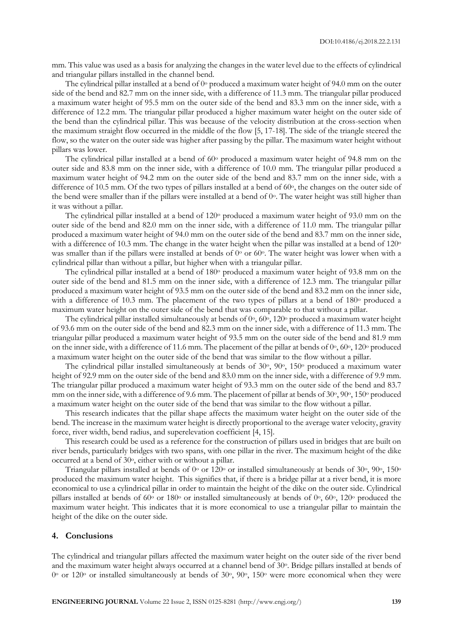mm. This value was used as a basis for analyzing the changes in the water level due to the effects of cylindrical and triangular pillars installed in the channel bend.

The cylindrical pillar installed at a bend of  $0^{\circ}$  produced a maximum water height of 94.0 mm on the outer side of the bend and 82.7 mm on the inner side, with a difference of 11.3 mm. The triangular pillar produced a maximum water height of 95.5 mm on the outer side of the bend and 83.3 mm on the inner side, with a difference of 12.2 mm. The triangular pillar produced a higher maximum water height on the outer side of the bend than the cylindrical pillar. This was because of the velocity distribution at the cross-section when the maximum straight flow occurred in the middle of the flow [5, 17-18]. The side of the triangle steered the flow, so the water on the outer side was higher after passing by the pillar. The maximum water height without pillars was lower.

The cylindrical pillar installed at a bend of  $60\degree$  produced a maximum water height of 94.8 mm on the outer side and 83.8 mm on the inner side, with a difference of 10.0 mm. The triangular pillar produced a maximum water height of 94.2 mm on the outer side of the bend and 83.7 mm on the inner side, with a difference of 10.5 mm. Of the two types of pillars installed at a bend of 60°, the changes on the outer side of the bend were smaller than if the pillars were installed at a bend of  $0^\circ$ . The water height was still higher than it was without a pillar.

The cylindrical pillar installed at a bend of 120° produced a maximum water height of 93.0 mm on the outer side of the bend and 82.0 mm on the inner side, with a difference of 11.0 mm. The triangular pillar produced a maximum water height of 94.0 mm on the outer side of the bend and 83.7 mm on the inner side, with a difference of 10.3 mm. The change in the water height when the pillar was installed at a bend of 120<sup>o</sup> was smaller than if the pillars were installed at bends of  $0^{\circ}$  or 60°. The water height was lower when with a cylindrical pillar than without a pillar, but higher when with a triangular pillar.

The cylindrical pillar installed at a bend of 180<sup>o</sup> produced a maximum water height of 93.8 mm on the outer side of the bend and 81.5 mm on the inner side, with a difference of 12.3 mm. The triangular pillar produced a maximum water height of 93.5 mm on the outer side of the bend and 83.2 mm on the inner side, with a difference of 10.3 mm. The placement of the two types of pillars at a bend of  $180^{\circ}$  produced a maximum water height on the outer side of the bend that was comparable to that without a pillar.

The cylindrical pillar installed simultaneously at bends of  $0^\circ$ ,  $60^\circ$ ,  $120^\circ$  produced a maximum water height of 93.6 mm on the outer side of the bend and 82.3 mm on the inner side, with a difference of 11.3 mm. The triangular pillar produced a maximum water height of 93.5 mm on the outer side of the bend and 81.9 mm on the inner side, with a difference of 11.6 mm. The placement of the pillar at bends of  $0^\circ$ ,  $60^\circ$ ,  $120^\circ$  produced a maximum water height on the outer side of the bend that was similar to the flow without a pillar.

The cylindrical pillar installed simultaneously at bends of 30°, 90°, 150° produced a maximum water height of 92.9 mm on the outer side of the bend and 83.0 mm on the inner side, with a difference of 9.9 mm. The triangular pillar produced a maximum water height of 93.3 mm on the outer side of the bend and 83.7 mm on the inner side, with a difference of 9.6 mm. The placement of pillar at bends of 30°, 90°, 150° produced a maximum water height on the outer side of the bend that was similar to the flow without a pillar.

This research indicates that the pillar shape affects the maximum water height on the outer side of the bend. The increase in the maximum water height is directly proportional to the average water velocity, gravity force, river width, bend radius, and superelevation coefficient [4, 15].

This research could be used as a reference for the construction of pillars used in bridges that are built on river bends, particularly bridges with two spans, with one pillar in the river. The maximum height of the dike occurred at a bend of 30o, either with or without a pillar.

Triangular pillars installed at bends of  $0^{\circ}$  or 120 $^{\circ}$  or installed simultaneously at bends of 30 $^{\circ}$ , 90 $^{\circ}$ , 150 $^{\circ}$ produced the maximum water height. This signifies that, if there is a bridge pillar at a river bend, it is more economical to use a cylindrical pillar in order to maintain the height of the dike on the outer side. Cylindrical pillars installed at bends of  $60^{\circ}$  or  $180^{\circ}$  or installed simultaneously at bends of  $0^{\circ}$ ,  $60^{\circ}$ ,  $120^{\circ}$  produced the maximum water height. This indicates that it is more economical to use a triangular pillar to maintain the height of the dike on the outer side.

#### **4. Conclusions**

The cylindrical and triangular pillars affected the maximum water height on the outer side of the river bend and the maximum water height always occurred at a channel bend of 30°. Bridge pillars installed at bends of  $0^{\circ}$  or 120 $^{\circ}$  or installed simultaneously at bends of 30 $^{\circ}$ , 90 $^{\circ}$ , 150 $^{\circ}$  were more economical when they were